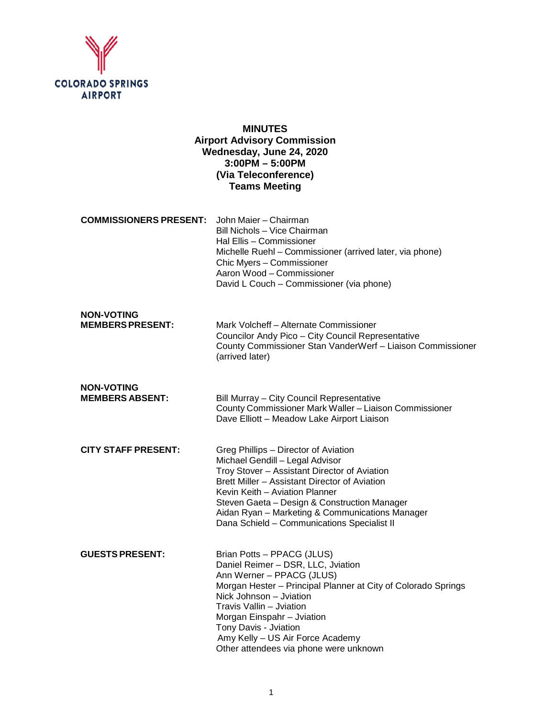

**NON-VOTING**

# **MINUTES Airport Advisory Commission Wednesday, June 24, 2020 3:00PM – 5:00PM (Via Teleconference) Teams Meeting**

**COMMISSIONERS PRESENT:** John Maier – Chairman Bill Nichols – Vice Chairman Hal Ellis – Commissioner Michelle Ruehl – Commissioner (arrived later, via phone) Chic Myers – Commissioner Aaron Wood – Commissioner David L Couch – Commissioner (via phone)

| <b>MEMBERS PRESENT:</b> | Mark Volcheff – Alternate Commissioner                     |
|-------------------------|------------------------------------------------------------|
|                         | Councilor Andy Pico – City Council Representative          |
|                         | County Commissioner Stan VanderWerf - Liaison Commissioner |
|                         | (arrived later)                                            |

- **NON-VOTING Bill Murray – City Council Representative** County Commissioner Mark Waller – Liaison Commissioner Dave Elliott – Meadow Lake Airport Liaison
- **CITY STAFF PRESENT:** Greg Phillips Director of Aviation Michael Gendill – Legal Advisor Troy Stover – Assistant Director of Aviation Brett Miller – Assistant Director of Aviation Kevin Keith – Aviation Planner Steven Gaeta – Design & Construction Manager Aidan Ryan – Marketing & Communications Manager Dana Schield – Communications Specialist II

| <b>GUESTS PRESENT:</b> | Brian Potts - PPACG (JLUS)                                    |
|------------------------|---------------------------------------------------------------|
|                        | Daniel Reimer - DSR, LLC, Jviation                            |
|                        | Ann Werner - PPACG (JLUS)                                     |
|                        | Morgan Hester – Principal Planner at City of Colorado Springs |
|                        | Nick Johnson – Jviation                                       |
|                        | Travis Vallin - Jviation                                      |
|                        | Morgan Einspahr - Jviation                                    |
|                        | Tony Davis - Jviation                                         |
|                        | Amy Kelly - US Air Force Academy                              |
|                        | Other attendees via phone were unknown                        |
|                        |                                                               |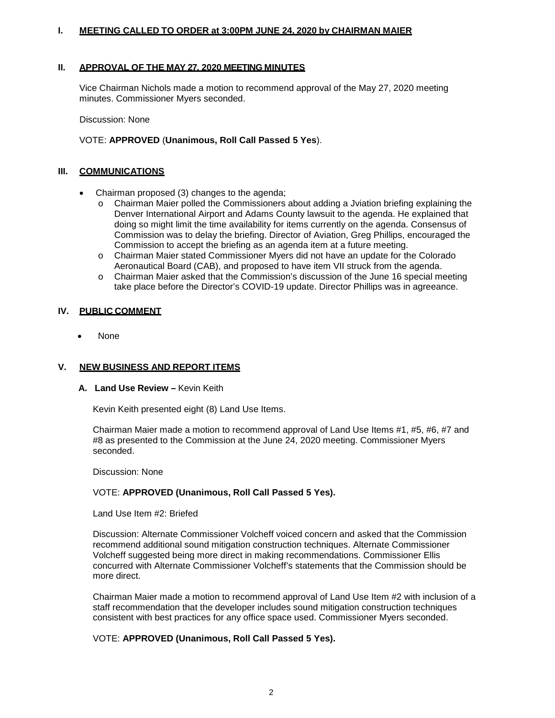### **I. MEETING CALLED TO ORDER at 3:00PM JUNE 24, 2020 by CHAIRMAN MAIER**

#### **II. APPROVAL OF THE MAY 27, 2020 MEETING MINUTES**

Vice Chairman Nichols made a motion to recommend approval of the May 27, 2020 meeting minutes. Commissioner Myers seconded.

Discussion: None

### VOTE: **APPROVED** (**Unanimous, Roll Call Passed 5 Yes**).

### **III. COMMUNICATIONS**

- Chairman proposed (3) changes to the agenda;
	- o Chairman Maier polled the Commissioners about adding a Jviation briefing explaining the Denver International Airport and Adams County lawsuit to the agenda. He explained that doing so might limit the time availability for items currently on the agenda. Consensus of Commission was to delay the briefing. Director of Aviation, Greg Phillips, encouraged the Commission to accept the briefing as an agenda item at a future meeting.
	- o Chairman Maier stated Commissioner Myers did not have an update for the Colorado Aeronautical Board (CAB), and proposed to have item VII struck from the agenda.
	- o Chairman Maier asked that the Commission's discussion of the June 16 special meeting take place before the Director's COVID-19 update. Director Phillips was in agreeance.

### **IV. PUBLIC COMMENT**

• None

### **V. NEW BUSINESS AND REPORT ITEMS**

### **A. Land Use Review –** Kevin Keith

Kevin Keith presented eight (8) Land Use Items.

Chairman Maier made a motion to recommend approval of Land Use Items #1, #5, #6, #7 and #8 as presented to the Commission at the June 24, 2020 meeting. Commissioner Myers seconded.

Discussion: None

### VOTE: **APPROVED (Unanimous, Roll Call Passed 5 Yes).**

Land Use Item #2: Briefed

Discussion: Alternate Commissioner Volcheff voiced concern and asked that the Commission recommend additional sound mitigation construction techniques. Alternate Commissioner Volcheff suggested being more direct in making recommendations. Commissioner Ellis concurred with Alternate Commissioner Volcheff's statements that the Commission should be more direct.

Chairman Maier made a motion to recommend approval of Land Use Item #2 with inclusion of a staff recommendation that the developer includes sound mitigation construction techniques consistent with best practices for any office space used. Commissioner Myers seconded.

### VOTE: **APPROVED (Unanimous, Roll Call Passed 5 Yes).**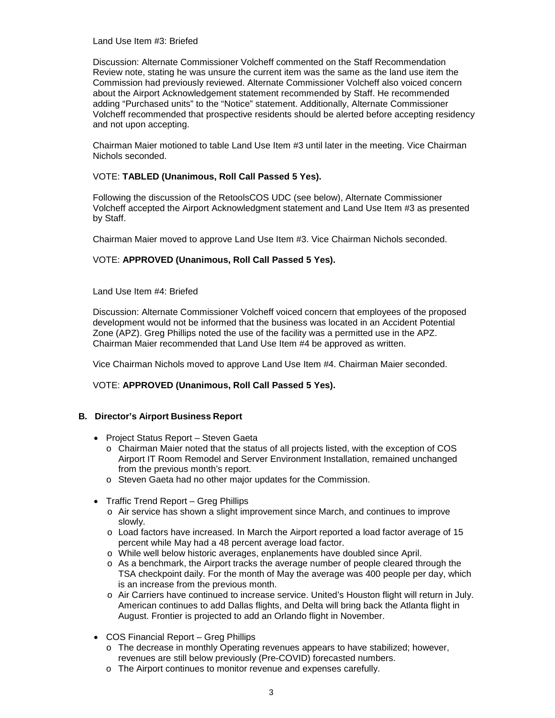Land Use Item #3: Briefed

Discussion: Alternate Commissioner Volcheff commented on the Staff Recommendation Review note, stating he was unsure the current item was the same as the land use item the Commission had previously reviewed. Alternate Commissioner Volcheff also voiced concern about the Airport Acknowledgement statement recommended by Staff. He recommended adding "Purchased units" to the "Notice" statement. Additionally, Alternate Commissioner Volcheff recommended that prospective residents should be alerted before accepting residency and not upon accepting.

Chairman Maier motioned to table Land Use Item #3 until later in the meeting. Vice Chairman Nichols seconded.

### VOTE: **TABLED (Unanimous, Roll Call Passed 5 Yes).**

Following the discussion of the RetoolsCOS UDC (see below), Alternate Commissioner Volcheff accepted the Airport Acknowledgment statement and Land Use Item #3 as presented by Staff.

Chairman Maier moved to approve Land Use Item #3. Vice Chairman Nichols seconded.

### VOTE: **APPROVED (Unanimous, Roll Call Passed 5 Yes).**

Land Use Item #4: Briefed

Discussion: Alternate Commissioner Volcheff voiced concern that employees of the proposed development would not be informed that the business was located in an Accident Potential Zone (APZ). Greg Phillips noted the use of the facility was a permitted use in the APZ. Chairman Maier recommended that Land Use Item #4 be approved as written.

Vice Chairman Nichols moved to approve Land Use Item #4. Chairman Maier seconded.

### VOTE: **APPROVED (Unanimous, Roll Call Passed 5 Yes).**

### **B. Director's Airport Business Report**

- Project Status Report Steven Gaeta
	- o Chairman Maier noted that the status of all projects listed, with the exception of COS Airport IT Room Remodel and Server Environment Installation, remained unchanged from the previous month's report.
	- o Steven Gaeta had no other major updates for the Commission.
- Traffic Trend Report Greg Phillips
	- o Air service has shown a slight improvement since March, and continues to improve slowly.
	- o Load factors have increased. In March the Airport reported a load factor average of 15 percent while May had a 48 percent average load factor.
	- o While well below historic averages, enplanements have doubled since April.
	- o As a benchmark, the Airport tracks the average number of people cleared through the TSA checkpoint daily. For the month of May the average was 400 people per day, which is an increase from the previous month.
	- o Air Carriers have continued to increase service. United's Houston flight will return in July. American continues to add Dallas flights, and Delta will bring back the Atlanta flight in August. Frontier is projected to add an Orlando flight in November.
- COS Financial Report Greg Phillips
	- o The decrease in monthly Operating revenues appears to have stabilized; however, revenues are still below previously (Pre-COVID) forecasted numbers.
	- o The Airport continues to monitor revenue and expenses carefully.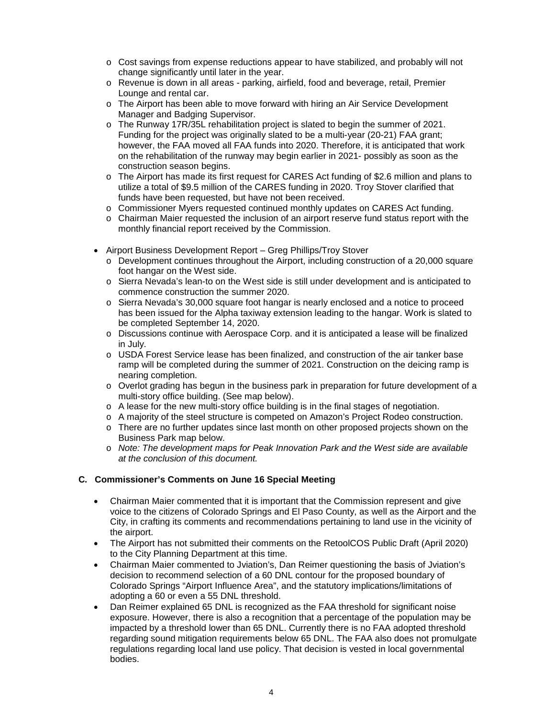- o Cost savings from expense reductions appear to have stabilized, and probably will not change significantly until later in the year.
- o Revenue is down in all areas parking, airfield, food and beverage, retail, Premier Lounge and rental car.
- o The Airport has been able to move forward with hiring an Air Service Development Manager and Badging Supervisor.
- o The Runway 17R/35L rehabilitation project is slated to begin the summer of 2021. Funding for the project was originally slated to be a multi-year (20-21) FAA grant; however, the FAA moved all FAA funds into 2020. Therefore, it is anticipated that work on the rehabilitation of the runway may begin earlier in 2021- possibly as soon as the construction season begins.
- o The Airport has made its first request for CARES Act funding of \$2.6 million and plans to utilize a total of \$9.5 million of the CARES funding in 2020. Troy Stover clarified that funds have been requested, but have not been received.
- o Commissioner Myers requested continued monthly updates on CARES Act funding.
- o Chairman Maier requested the inclusion of an airport reserve fund status report with the monthly financial report received by the Commission.
- Airport Business Development Report Greg Phillips/Troy Stover
	- o Development continues throughout the Airport, including construction of a 20,000 square foot hangar on the West side.
	- o Sierra Nevada's lean-to on the West side is still under development and is anticipated to commence construction the summer 2020.
	- o Sierra Nevada's 30,000 square foot hangar is nearly enclosed and a notice to proceed has been issued for the Alpha taxiway extension leading to the hangar. Work is slated to be completed September 14, 2020.
	- o Discussions continue with Aerospace Corp. and it is anticipated a lease will be finalized in July.
	- o USDA Forest Service lease has been finalized, and construction of the air tanker base ramp will be completed during the summer of 2021. Construction on the deicing ramp is nearing completion.
	- o Overlot grading has begun in the business park in preparation for future development of a multi-story office building. (See map below).
	- o A lease for the new multi-story office building is in the final stages of negotiation.
	- o A majority of the steel structure is competed on Amazon's Project Rodeo construction.
	- $\circ$  There are no further updates since last month on other proposed projects shown on the Business Park map below.
	- o *Note: The development maps for Peak Innovation Park and the West side are available at the conclusion of this document.*

### **C. Commissioner's Comments on June 16 Special Meeting**

- Chairman Maier commented that it is important that the Commission represent and give voice to the citizens of Colorado Springs and El Paso County, as well as the Airport and the City, in crafting its comments and recommendations pertaining to land use in the vicinity of the airport.
- The Airport has not submitted their comments on the RetoolCOS Public Draft (April 2020) to the City Planning Department at this time.
- Chairman Maier commented to Jviation's, Dan Reimer questioning the basis of Jviation's decision to recommend selection of a 60 DNL contour for the proposed boundary of Colorado Springs "Airport Influence Area", and the statutory implications/limitations of adopting a 60 or even a 55 DNL threshold.
- Dan Reimer explained 65 DNL is recognized as the FAA threshold for significant noise exposure. However, there is also a recognition that a percentage of the population may be impacted by a threshold lower than 65 DNL. Currently there is no FAA adopted threshold regarding sound mitigation requirements below 65 DNL. The FAA also does not promulgate regulations regarding local land use policy. That decision is vested in local governmental bodies.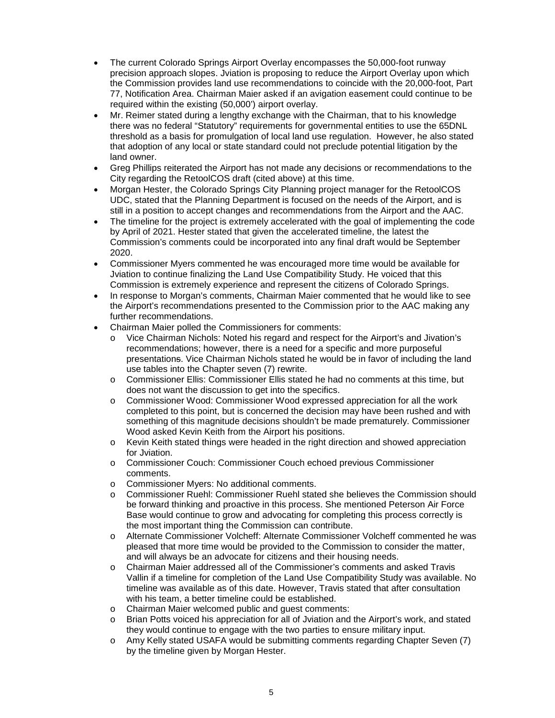- The current Colorado Springs Airport Overlay encompasses the 50,000-foot runway precision approach slopes. Jviation is proposing to reduce the Airport Overlay upon which the Commission provides land use recommendations to coincide with the 20,000-foot, Part 77, Notification Area. Chairman Maier asked if an avigation easement could continue to be required within the existing (50,000') airport overlay.
- Mr. Reimer stated during a lengthy exchange with the Chairman, that to his knowledge there was no federal "Statutory" requirements for governmental entities to use the 65DNL threshold as a basis for promulgation of local land use regulation. However, he also stated that adoption of any local or state standard could not preclude potential litigation by the land owner.
- Greg Phillips reiterated the Airport has not made any decisions or recommendations to the City regarding the RetoolCOS draft (cited above) at this time.
- Morgan Hester, the Colorado Springs City Planning project manager for the RetoolCOS UDC, stated that the Planning Department is focused on the needs of the Airport, and is still in a position to accept changes and recommendations from the Airport and the AAC.
- The timeline for the project is extremely accelerated with the goal of implementing the code by April of 2021. Hester stated that given the accelerated timeline, the latest the Commission's comments could be incorporated into any final draft would be September 2020.
- Commissioner Myers commented he was encouraged more time would be available for Jviation to continue finalizing the Land Use Compatibility Study. He voiced that this Commission is extremely experience and represent the citizens of Colorado Springs.
- In response to Morgan's comments, Chairman Maier commented that he would like to see the Airport's recommendations presented to the Commission prior to the AAC making any further recommendations.
- Chairman Maier polled the Commissioners for comments:
	- o Vice Chairman Nichols: Noted his regard and respect for the Airport's and Jivation's recommendations; however, there is a need for a specific and more purposeful presentations. Vice Chairman Nichols stated he would be in favor of including the land use tables into the Chapter seven (7) rewrite.
	- o Commissioner Ellis: Commissioner Ellis stated he had no comments at this time, but does not want the discussion to get into the specifics.
	- o Commissioner Wood: Commissioner Wood expressed appreciation for all the work completed to this point, but is concerned the decision may have been rushed and with something of this magnitude decisions shouldn't be made prematurely. Commissioner Wood asked Kevin Keith from the Airport his positions.
	- o Kevin Keith stated things were headed in the right direction and showed appreciation for Jviation.
	- o Commissioner Couch: Commissioner Couch echoed previous Commissioner comments.
	- o Commissioner Myers: No additional comments.
	- o Commissioner Ruehl: Commissioner Ruehl stated she believes the Commission should be forward thinking and proactive in this process. She mentioned Peterson Air Force Base would continue to grow and advocating for completing this process correctly is the most important thing the Commission can contribute.
	- o Alternate Commissioner Volcheff: Alternate Commissioner Volcheff commented he was pleased that more time would be provided to the Commission to consider the matter, and will always be an advocate for citizens and their housing needs.
	- o Chairman Maier addressed all of the Commissioner's comments and asked Travis Vallin if a timeline for completion of the Land Use Compatibility Study was available. No timeline was available as of this date. However, Travis stated that after consultation with his team, a better timeline could be established.
	- o Chairman Maier welcomed public and guest comments:
	- o Brian Potts voiced his appreciation for all of Jviation and the Airport's work, and stated they would continue to engage with the two parties to ensure military input.
	- o Amy Kelly stated USAFA would be submitting comments regarding Chapter Seven (7) by the timeline given by Morgan Hester.